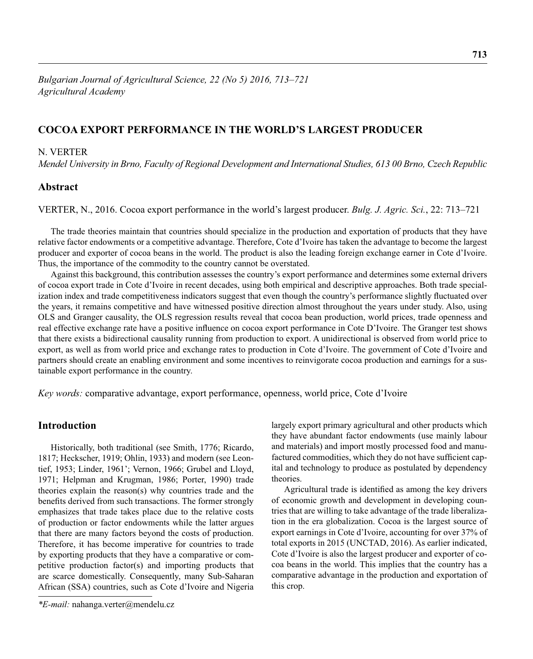# **COCOA EXPORT PERFORMANCE IN THE WORLD'S LARGEST PRODUCER**

### N. VERTER

*Mendel University in Brno, Faculty of Regional Development and International Studies, 613 00 Brno, Czech Republic* 

# **Abstract**

VERTER, N., 2016. Cocoa export performance in the world's largest producer. *Bulg. J. Agric. Sci.*, 22: 713–721

The trade theories maintain that countries should specialize in the production and exportation of products that they have relative factor endowments or a competitive advantage. Therefore, Cote d'Ivoire has taken the advantage to become the largest producer and exporter of cocoa beans in the world. The product is also the leading foreign exchange earner in Cote d'Ivoire. Thus, the importance of the commodity to the country cannot be overstated.

Against this background, this contribution assesses the country's export performance and determines some external drivers of cocoa export trade in Cote d'Ivoire in recent decades, using both empirical and descriptive approaches. Both trade specialization index and trade competitiveness indicators suggest that even though the country's performance slightly fluctuated over the years, it remains competitive and have witnessed positive direction almost throughout the years under study. Also, using OLS and Granger causality, the OLS regression results reveal that cocoa bean production, world prices, trade openness and real effective exchange rate have a positive influence on cocoa export performance in Cote D'Ivoire. The Granger test shows that there exists a bidirectional causality running from production to export. A unidirectional is observed from world price to export, as well as from world price and exchange rates to production in Cote d'Ivoire. The government of Cote d'Ivoire and partners should create an enabling environment and some incentives to reinvigorate cocoa production and earnings for a sustainable export performance in the country.

*Key words:* comparative advantage, export performance, openness, world price, Cote d'Ivoire

# **Introduction**

Historically, both traditional (see Smith, 1776; Ricardo, 1817; Heckscher, 1919; Ohlin, 1933) and modern (see Leontief, 1953; Linder, 1961'; Vernon, 1966; Grubel and Lloyd, 1971; Helpman and Krugman, 1986; Porter, 1990) trade theories explain the reason(s) why countries trade and the benefits derived from such transactions. The former strongly emphasizes that trade takes place due to the relative costs of production or factor endowments while the latter argues that there are many factors beyond the costs of production. Therefore, it has become imperative for countries to trade by exporting products that they have a comparative or competitive production factor(s) and importing products that are scarce domestically. Consequently, many Sub-Saharan African (SSA) countries, such as Cote d'Ivoire and Nigeria

largely export primary agricultural and other products which they have abundant factor endowments (use mainly labour and materials) and import mostly processed food and manufactured commodities, which they do not have sufficient capital and technology to produce as postulated by dependency theories.

Agricultural trade is identified as among the key drivers of economic growth and development in developing countries that are willing to take advantage of the trade liberalization in the era globalization. Cocoa is the largest source of export earnings in Cote d'Ivoire, accounting for over 37% of total exports in 2015 (UNCTAD, 2016). As earlier indicated, Cote d'Ivoire is also the largest producer and exporter of cocoa beans in the world. This implies that the country has a comparative advantage in the production and exportation of this crop.

*<sup>\*</sup>E-mail:* nahanga.verter@mendelu.cz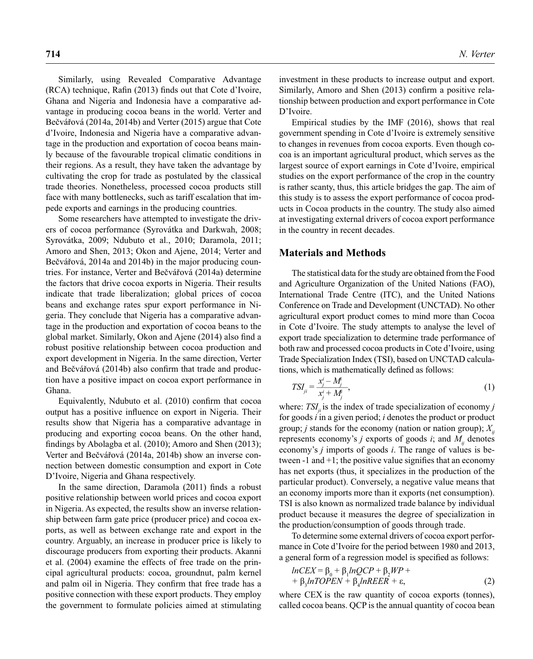Similarly, using Revealed Comparative Advantage  $(RCA)$  technique, Rafin  $(2013)$  finds out that Cote d'Ivoire, Ghana and Nigeria and Indonesia have a comparative advantage in producing cocoa beans in the world. Verter and Bečvářová (2014a, 2014b) and Verter (2015) argue that Cote d'Ivoire, Indonesia and Nigeria have a comparative advantage in the production and exportation of cocoa beans mainly because of the favourable tropical climatic conditions in their regions. As a result, they have taken the advantage by cultivating the crop for trade as postulated by the classical trade theories. Nonetheless, processed cocoa products still face with many bottlenecks, such as tariff escalation that impede exports and earnings in the producing countries.

Some researchers have attempted to investigate the drivers of cocoa performance (Syrovátka and Darkwah, 2008; Syrovátka, 2009; Ndubuto et al., 2010; Daramola, 2011; Amoro and Shen, 2013; Okon and Ajene, 2014; Verter and Bečvářová, 2014a and 2014b) in the major producing countries. For instance, Verter and Bečvářová (2014a) determine the factors that drive cocoa exports in Nigeria. Their results indicate that trade liberalization; global prices of cocoa beans and exchange rates spur export performance in Nigeria. They conclude that Nigeria has a comparative advantage in the production and exportation of cocoa beans to the global market. Similarly, Okon and Ajene (2014) also find a robust positive relationship between cocoa production and export development in Nigeria. In the same direction, Verter and Bečvářová (2014b) also confirm that trade and production have a positive impact on cocoa export performance in Ghana.

Equivalently, Ndubuto et al. (2010) confirm that cocoa output has a positive influence on export in Nigeria. Their results show that Nigeria has a comparative advantage in producing and exporting cocoa beans. On the other hand, findings by Abolagba et al. (2010); Amoro and Shen (2013); Verter and Bečvářová (2014a, 2014b) show an inverse connection between domestic consumption and export in Cote D'Ivoire, Nigeria and Ghana respectively.

In the same direction, Daramola (2011) finds a robust positive relationship between world prices and cocoa export in Nigeria. As expected, the results show an inverse relationship between farm gate price (producer price) and cocoa exports, as well as between exchange rate and export in the country. Arguably, an increase in producer price is likely to discourage producers from exporting their products. Akanni et al. (2004) examine the effects of free trade on the principal agricultural products: cocoa, groundnut, palm kernel and palm oil in Nigeria. They confirm that free trade has a positive connection with these export products. They employ the government to formulate policies aimed at stimulating investment in these products to increase output and export. Similarly, Amoro and Shen (2013) confirm a positive relationship between production and export performance in Cote D'Ivoire.

Empirical studies by the IMF (2016), shows that real government spending in Cote d'Ivoire is extremely sensitive to changes in revenues from cocoa exports. Even though cocoa is an important agricultural product, which serves as the largest source of export earnings in Cote d'Ivoire, empirical studies on the export performance of the crop in the country is rather scanty, thus, this article bridges the gap. The aim of this study is to assess the export performance of cocoa products in Cocoa products in the country. The study also aimed at investigating external drivers of cocoa export performance in the country in recent decades.

### **Materials and Methods**

The statistical data for the study are obtained from the Food and Agriculture Organization of the United Nations (FAO), International Trade Centre (ITC), and the United Nations Conference on Trade and Development (UNCTAD). No other agricultural export product comes to mind more than Cocoa in Cote d'Ivoire. The study attempts to analyse the level of export trade specialization to determine trade performance of both raw and processed cocoa products in Cote d'Ivoire, using Trade Specialization Index (TSI), based on UNCTAD calculations, which is mathematically defined as follows:

$$
TSI_{ji} = \frac{x_j^i - M_j^i}{x_j^i + M_j^i},\tag{1}
$$

where: *TSI<sub>ii</sub>* is the index of trade specialization of economy *j* for goods *i* in a given period; *i* denotes the product or product group; *j* stands for the economy (nation or nation group);  $X_{ii}$ represents economy's  $j$  exports of goods  $i$ ; and  $M_{ij}$  denotes economy's *j* imports of goods *i*. The range of values is between  $-1$  and  $+1$ ; the positive value signifies that an economy has net exports (thus, it specializes in the production of the particular product). Conversely, a negative value means that an economy imports more than it exports (net consumption). TSI is also known as normalized trade balance by individual product because it measures the degree of specialization in the production/consumption of goods through trade.

To determine some external drivers of cocoa export performance in Cote d'Ivoire for the period between 1980 and 2013, a general form of a regression model is specified as follows:

$$
lnCEX = \beta_0 + \beta_1 lnQCP + \beta_2 WP + + \beta_3 lnTOPEN + \beta_4 lnREER + \epsilon,
$$
 (2)

where CEX is the raw quantity of cocoa exports (tonnes), called cocoa beans. QCP is the annual quantity of cocoa bean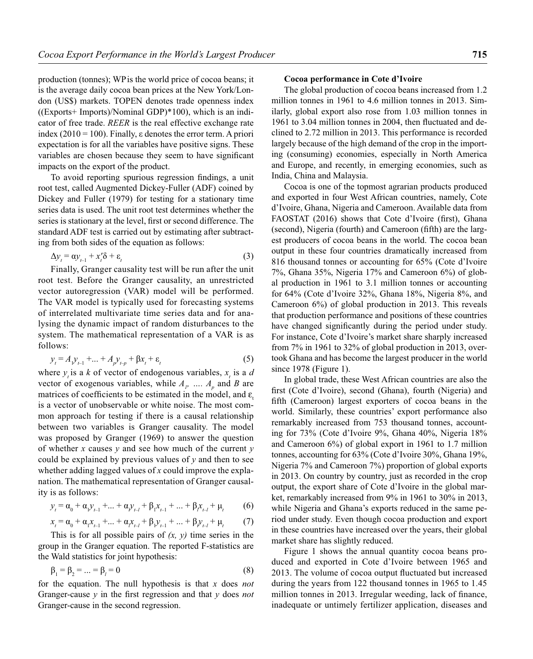production (tonnes); WPis the world price of cocoa beans; it is the average daily cocoa bean prices at the New York/London (US\$) markets. TOPEN denotes trade openness index  $((Exports+ Imports)/Nominal GDP)*100$ , which is an indicator of free trade. *REER* is the real effective exchange rate index (2010 = 100). Finally,  $\varepsilon$  denotes the error term. A priori expectation is for all the variables have positive signs. These variables are chosen because they seem to have significant impacts on the export of the product.

To avoid reporting spurious regression findings, a unit root test, called Augmented Dickey-Fuller (ADF) coined by Dickey and Fuller (1979) for testing for a stationary time series data is used. The unit root test determines whether the series is stationary at the level, first or second difference. The standard ADF test is carried out by estimating after subtracting from both sides of the equation as follows:

$$
\Delta y_t = \alpha y_{t-1} + x_t' \delta + \varepsilon_t \tag{3}
$$

Finally, Granger causality test will be run after the unit root test. Before the Granger causality, an unrestricted vector autoregression (VAR) model will be performed. The VAR model is typically used for forecasting systems of interrelated multivariate time series data and for analysing the dynamic impact of random disturbances to the system. The mathematical representation of a VAR is as follows:

$$
y_{t} = A_{1}y_{t-1} + ... + A_{p}y_{t-p} + \beta x_{t} + \varepsilon_{t}
$$
\n(5)

where  $y_t$  is a *k* of vector of endogenous variables,  $x_t$  is a *d* vector of exogenous variables, while  $A_p$ , ...,  $A_p$  and *B* are matrices of coefficients to be estimated in the model, and  $\varepsilon$ . is a vector of unobservable or white noise. The most common approach for testing if there is a causal relationship between two variables is Granger causality. The model was proposed by Granger (1969) to answer the question of whether *x* causes *y* and see how much of the current *y* could be explained by previous values of *y* and then to see whether adding lagged values of *x* could improve the explanation. The mathematical representation of Granger causality is as follows:

$$
y_t = \alpha_0 + \alpha_1 y_{t-1} + \dots + \alpha_p y_{t-l} + \beta_1 x_{t-1} + \dots + \beta_p x_{t-l} + \mu_t
$$
 (6)

$$
x_{t} = \alpha_{0} + \alpha_{1}x_{t-1} + \dots + \alpha_{r}x_{t-1} + \beta_{1}y_{t-1} + \dots + \beta_{r}y_{t-1} + \mu_{t}
$$
 (7)

This is for all possible pairs of *(x, y)* time series in the group in the Granger equation. The reported F-statistics are the Wald statistics for joint hypothesis:

$$
\beta_1 = \beta_2 = ... = \beta_i = 0 \tag{8}
$$

for the equation. The null hypothesis is that *x* does *not*  Granger-cause  $\nu$  in the first regression and that  $\nu$  does *not* Granger-cause in the second regression.

#### **Cocoa performance in Cote d'Ivoire**

The global production of cocoa beans increased from 1.2 million tonnes in 1961 to 4.6 million tonnes in 2013. Similarly, global export also rose from 1.03 million tonnes in 1961 to 3.04 million tonnes in 2004, then fluctuated and declined to 2.72 million in 2013. This performance is recorded largely because of the high demand of the crop in the importing (consuming) economies, especially in North America and Europe, and recently, in emerging economies, such as India, China and Malaysia.

Cocoa is one of the topmost agrarian products produced and exported in four West African countries, namely, Cote d'Ivoire, Ghana, Nigeria and Cameroon. Available data from FAOSTAT (2016) shows that Cote d'Ivoire (first), Ghana (second), Nigeria (fourth) and Cameroon (fifth) are the largest producers of cocoa beans in the world. The cocoa bean output in these four countries dramatically increased from 816 thousand tonnes or accounting for 65% (Cote d'Ivoire 7%, Ghana 35%, Nigeria 17% and Cameroon 6%) of global production in 1961 to 3.1 million tonnes or accounting for 64% (Cote d'Ivoire 32%, Ghana 18%, Nigeria 8%, and Cameroon 6%) of global production in 2013. This reveals that production performance and positions of these countries have changed significantly during the period under study. For instance, Cote d'Ivoire's market share sharply increased from 7% in 1961 to 32% of global production in 2013, overtook Ghana and has become the largest producer in the world since 1978 (Figure 1).

In global trade, these West African countries are also the first (Cote d'Ivoire), second (Ghana), fourth (Nigeria) and fifth (Cameroon) largest exporters of cocoa beans in the world. Similarly, these countries' export performance also remarkably increased from 753 thousand tonnes, accounting for 73% (Cote d'Ivoire 9%, Ghana 40%, Nigeria 18% and Cameroon 6%) of global export in 1961 to 1.7 million tonnes, accounting for 63% (Cote d'Ivoire 30%, Ghana 19%, Nigeria 7% and Cameroon 7%) proportion of global exports in 2013. On country by country, just as recorded in the crop output, the export share of Cote d'Ivoire in the global market, remarkably increased from 9% in 1961 to 30% in 2013, while Nigeria and Ghana's exports reduced in the same period under study. Even though cocoa production and export in these countries have increased over the years, their global market share has slightly reduced.

Figure 1 shows the annual quantity cocoa beans produced and exported in Cote d'Ivoire between 1965 and 2013. The volume of cocoa output fluctuated but increased during the years from 122 thousand tonnes in 1965 to 1.45 million tonnes in 2013. Irregular weeding, lack of finance, inadequate or untimely fertilizer application, diseases and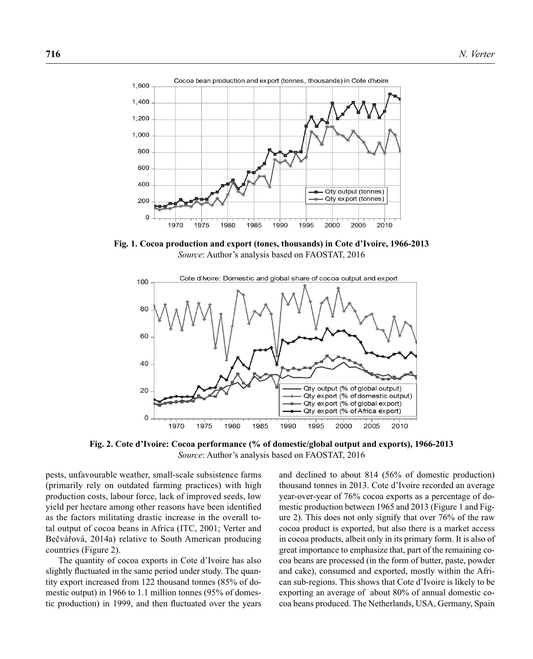

**Fig. 1. Cocoa production and export (tones, thousands) in Cote d'Ivoire, 1966-2013** *Source*: Author's analysis based on FAOSTAT, 2016



**Fig. 2. Cote d'Ivoire: Cocoa performance (% of domestic/global output and exports), 1966-2013** *Source*: Author's analysis based on FAOSTAT, 2016

pests, unfavourable weather, small-scale subsistence farms (primarily rely on outdated farming practices) with high production costs, labour force, lack of improved seeds, low yield per hectare among other reasons have been identified as the factors militating drastic increase in the overall total output of cocoa beans in Africa (ITC, 2001; Verter and Bečvářová, 2014a) relative to South American producing countries (Figure 2).

The quantity of cocoa exports in Cote d'Ivoire has also slightly fluctuated in the same period under study. The quantity export increased from 122 thousand tonnes (85% of domestic output) in 1966 to 1.1 million tonnes (95% of domestic production) in 1999, and then fluctuated over the years and declined to about 814 (56% of domestic production) thousand tonnes in 2013. Cote d'Ivoire recorded an average year-over-year of 76% cocoa exports as a percentage of domestic production between 1965 and 2013 (Figure 1 and Figure 2). This does not only signify that over 76% of the raw cocoa product is exported, but also there is a market access in cocoa products, albeit only in its primary form. It is also of great importance to emphasize that, part of the remaining cocoa beans are processed (in the form of butter, paste, powder and cake), consumed and exported, mostly within the African sub-regions. This shows that Cote d'Ivoire is likely to be exporting an average of about 80% of annual domestic cocoa beans produced. The Netherlands, USA, Germany, Spain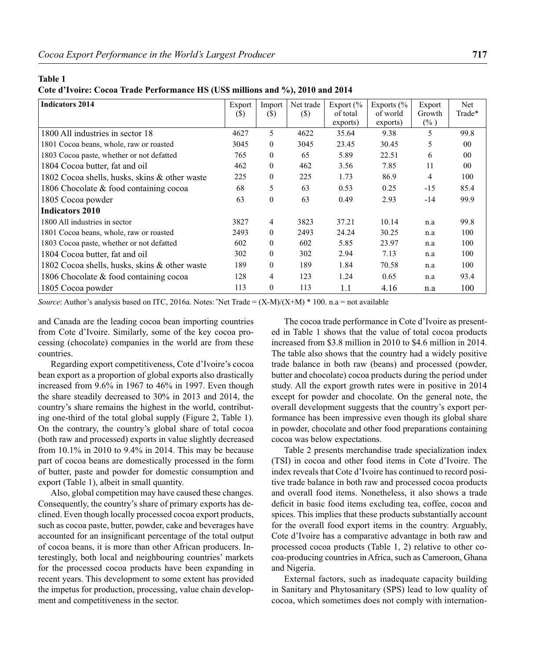#### **Table 1**

**Cote d'Ivoire: Cocoa Trade Performance HS (US\$ millions and %), 2010 and 2014**

| <b>Indicators 2014</b>                        | Export<br>(S) | Import<br>(\$) | Net trade<br>(S) | Export $\frac{6}{6}$<br>of total<br>exports) | Exports $\frac{6}{6}$<br>of world<br>exports) | Export<br>Growth<br>$(\%)$ | Net<br>Trade*  |
|-----------------------------------------------|---------------|----------------|------------------|----------------------------------------------|-----------------------------------------------|----------------------------|----------------|
| 1800 All industries in sector 18              | 4627          | 5              | 4622             | 35.64                                        | 9.38                                          | 5                          | 99.8           |
| 1801 Cocoa beans, whole, raw or roasted       | 3045          | $\theta$       | 3045             | 23.45                                        | 30.45                                         | 5                          | $00\,$         |
| 1803 Cocoa paste, whether or not defatted     | 765           | $\mathbf{0}$   | 65               | 5.89                                         | 22.51                                         | 6                          | 0 <sub>0</sub> |
| 1804 Cocoa butter, fat and oil                | 462           | $\mathbf{0}$   | 462              | 3.56                                         | 7.85                                          | 11                         | 0 <sub>0</sub> |
| 1802 Cocoa shells, husks, skins & other waste | 225           | $\theta$       | 225              | 1.73                                         | 86.9                                          | $\overline{4}$             | 100            |
| 1806 Chocolate & food containing cocoa        | 68            | 5              | 63               | 0.53                                         | 0.25                                          | $-15$                      | 85.4           |
| 1805 Cocoa powder                             | 63            | $\mathbf{0}$   | 63               | 0.49                                         | 2.93                                          | $-14$                      | 99.9           |
| <b>Indicators 2010</b>                        |               |                |                  |                                              |                                               |                            |                |
| 1800 All industries in sector                 | 3827          | 4              | 3823             | 37.21                                        | 10.14                                         | n.a                        | 99.8           |
| 1801 Cocoa beans, whole, raw or roasted       | 2493          | $\theta$       | 2493             | 24.24                                        | 30.25                                         | n.a                        | 100            |
| 1803 Cocoa paste, whether or not defatted     | 602           | $\mathbf{0}$   | 602              | 5.85                                         | 23.97                                         | n.a                        | 100            |
| 1804 Cocoa butter, fat and oil                | 302           | $\mathbf{0}$   | 302              | 2.94                                         | 7.13                                          | n.a                        | 100            |
| 1802 Cocoa shells, husks, skins & other waste | 189           | $\theta$       | 189              | 1.84                                         | 70.58                                         | n.a                        | 100            |
| 1806 Chocolate & food containing cocoa        | 128           | 4              | 123              | 1.24                                         | 0.65                                          | n.a                        | 93.4           |
| 1805 Cocoa powder                             | 113           | $\theta$       | 113              | 1.1                                          | 4.16                                          | n.a                        | 100            |

*Source*: Author's analysis based on ITC, 2016a. Notes: "Net Trade =  $(X-M)/(X+M)$  \* 100. n.a = not available

and Canada are the leading cocoa bean importing countries from Cote d'Ivoire. Similarly, some of the key cocoa processing (chocolate) companies in the world are from these countries.

Regarding export competitiveness, Cote d'Ivoire's cocoa bean export as a proportion of global exports also drastically increased from 9.6% in 1967 to 46% in 1997. Even though the share steadily decreased to 30% in 2013 and 2014, the country's share remains the highest in the world, contributing one-third of the total global supply (Figure 2, Table 1). On the contrary, the country's global share of total cocoa (both raw and processed) exports in value slightly decreased from 10.1% in 2010 to 9.4% in 2014. This may be because part of cocoa beans are domestically processed in the form of butter, paste and powder for domestic consumption and export (Table 1), albeit in small quantity.

Also, global competition may have caused these changes. Consequently, the country's share of primary exports has declined. Even though locally processed cocoa export products, such as cocoa paste, butter, powder, cake and beverages have accounted for an insignificant percentage of the total output of cocoa beans, it is more than other African producers. Interestingly, both local and neighbouring countries' markets for the processed cocoa products have been expanding in recent years. This development to some extent has provided the impetus for production, processing, value chain development and competitiveness in the sector.

The cocoa trade performance in Cote d'Ivoire as presented in Table 1 shows that the value of total cocoa products increased from \$3.8 million in 2010 to \$4.6 million in 2014. The table also shows that the country had a widely positive trade balance in both raw (beans) and processed (powder, butter and chocolate) cocoa products during the period under study. All the export growth rates were in positive in 2014 except for powder and chocolate. On the general note, the overall development suggests that the country's export performance has been impressive even though its global share in powder, chocolate and other food preparations containing cocoa was below expectations.

Table 2 presents merchandise trade specialization index (TSI) in cocoa and other food items in Cote d'Ivoire. The index reveals that Cote d'Ivoire has continued to record positive trade balance in both raw and processed cocoa products and overall food items. Nonetheless, it also shows a trade deficit in basic food items excluding tea, coffee, cocoa and spices. This implies that these products substantially account for the overall food export items in the country. Arguably, Cote d'Ivoire has a comparative advantage in both raw and processed cocoa products (Table 1, 2) relative to other cocoa-producing countries in Africa, such as Cameroon, Ghana and Nigeria.

External factors, such as inadequate capacity building in Sanitary and Phytosanitary (SPS) lead to low quality of cocoa, which sometimes does not comply with internation-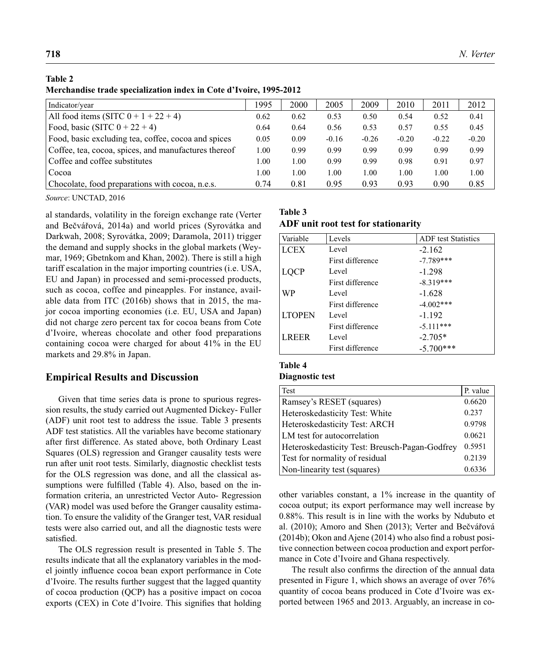### **Table 2**

**Merchandise trade specialization index in Cote d'Ivoire, 1995-2012**

| Indicator/year                                       | 1995 | 2000 | 2005    | 2009    | 2010    | 2011    | 2012    |
|------------------------------------------------------|------|------|---------|---------|---------|---------|---------|
| All food items (SITC $0 + 1 + 22 + 4$ )              | 0.62 | 0.62 | 0.53    | 0.50    | 0.54    | 0.52    | 0.41    |
| Food, basic (SITC $0 + 22 + 4$ )                     | 0.64 | 0.64 | 0.56    | 0.53    | 0.57    | 0.55    | 0.45    |
| Food, basic excluding tea, coffee, cocoa and spices  | 0.05 | 0.09 | $-0.16$ | $-0.26$ | $-0.20$ | $-0.22$ | $-0.20$ |
| Coffee, tea, cocoa, spices, and manufactures thereof | 1.00 | 0.99 | 0.99    | 0.99    | 0.99    | 0.99    | 0.99    |
| Coffee and coffee substitutes                        | L.00 | 1.00 | 0.99    | 0.99    | 0.98    | 0.91    | 0.97    |
| Cocoa                                                | 1.00 | 1.00 | 1.00    | 1.00    | 1.00    | 1.00    | 1.00    |
| Chocolate, food preparations with cocoa, n.e.s.      | 0.74 | 0.81 | 0.95    | 0.93    | 0.93    | 0.90    | 0.85    |

*Source*: UNCTAD, 2016

al standards, volatility in the foreign exchange rate (Verter and Bečvářová, 2014a) and world prices (Syrovátka and Darkwah, 2008; Syrovátka, 2009; Daramola, 2011) trigger the demand and supply shocks in the global markets (Weymar, 1969; Gbetnkom and Khan, 2002). There is still a high tariff escalation in the major importing countries (i.e. USA, EU and Japan) in processed and semi-processed products, such as cocoa, coffee and pineapples. For instance, available data from ITC (2016b) shows that in 2015, the major cocoa importing economies (i.e. EU, USA and Japan) did not charge zero percent tax for cocoa beans from Cote d'Ivoire, whereas chocolate and other food preparations containing cocoa were charged for about 41% in the EU markets and 29.8% in Japan.

## **Empirical Results and Discussion**

Given that time series data is prone to spurious regression results, the study carried out Augmented Dickey- Fuller (ADF) unit root test to address the issue. Table 3 presents ADF test statistics. All the variables have become stationary after first difference. As stated above, both Ordinary Least Squares (OLS) regression and Granger causality tests were run after unit root tests. Similarly, diagnostic checklist tests for the OLS regression was done, and all the classical assumptions were fulfilled (Table 4). Also, based on the information criteria, an unrestricted Vector Auto- Regression (VAR) model was used before the Granger causality estimation. To ensure the validity of the Granger test, VAR residual tests were also carried out, and all the diagnostic tests were satisfied.

The OLS regression result is presented in Table 5. The results indicate that all the explanatory variables in the model jointly influence cocoa bean export performance in Cote d'Ivoire. The results further suggest that the lagged quantity of cocoa production (QCP) has a positive impact on cocoa exports (CEX) in Cote d'Ivoire. This signifies that holding

#### **Table 3**

#### **ADF unit root test for stationarity**

| Variable      | Levels           | <b>ADF</b> test Statistics |
|---------------|------------------|----------------------------|
| <b>LCEX</b>   | Level            | $-2.162$                   |
|               | First difference | $-7.789***$                |
| <b>LOCP</b>   | Level            | $-1.298$                   |
|               | First difference | $-8.319***$                |
| WP            | Level            | $-1.628$                   |
|               | First difference | $-4.002***$                |
| <b>LTOPEN</b> | Level            | $-1.192$                   |
|               | First difference | $-5.111***$                |
| <b>LREER</b>  | Level            | $-2.705*$                  |
|               | First difference | $-5.700***$                |

### **Table 4**

### **Diagnostic test**

| Test                                           | P. value |
|------------------------------------------------|----------|
| Ramsey's RESET (squares)                       | 0.6620   |
| Heteroskedasticity Test: White                 | 0.237    |
| Heteroskedasticity Test: ARCH                  | 0.9798   |
| LM test for autocorrelation                    | 0.0621   |
| Heteroskedasticity Test: Breusch-Pagan-Godfrey | 0.5951   |
| Test for normality of residual                 | 0.2139   |
| Non-linearity test (squares)                   | 0.6336   |

other variables constant, a 1% increase in the quantity of cocoa output; its export performance may well increase by 0.88%. This result is in line with the works by Ndubuto et al. (2010); Amoro and Shen (2013); Verter and Bečvářová  $(2014b)$ ; Okon and Ajene  $(2014)$  who also find a robust positive connection between cocoa production and export performance in Cote d'Ivoire and Ghana respectively.

The result also confirms the direction of the annual data presented in Figure 1, which shows an average of over 76% quantity of cocoa beans produced in Cote d'Ivoire was exported between 1965 and 2013. Arguably, an increase in co-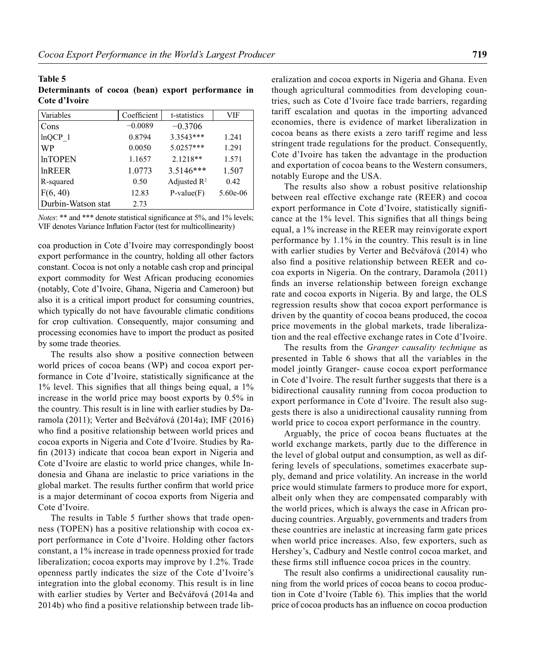| Variables          | Coefficient | t-statistics            | VIF      |
|--------------------|-------------|-------------------------|----------|
| Cons               | $-0.0089$   | $-0.3706$               |          |
| $lnQCP$ 1          | 0.8794      | 3.3543***               | 1.241    |
| <b>WP</b>          | 0.0050      | 5.0257***               | 1.291    |
| <b>InTOPEN</b>     | 1.1657      | $2.1218**$              | 1.571    |
| In <b>REER</b>     | 1.0773      | 3.5146***               | 1.507    |
| R-squared          | 0.50        | Adjusted $\mathbb{R}^2$ | 0.42     |
| F(6, 40)           | 12.83       | $P-value(F)$            | 5.60e-06 |
| Durbin-Watson stat | 2.73        |                         |          |

*Notes*: \*\* and \*\*\* denote statistical significance at 5%, and 1% levels; VIF denotes Variance Inflation Factor (test for multicollinearity)

coa production in Cote d'Ivoire may correspondingly boost export performance in the country, holding all other factors constant. Cocoa is not only a notable cash crop and principal export commodity for West African producing economies (notably, Cote d'Ivoire, Ghana, Nigeria and Cameroon) but also it is a critical import product for consuming countries, which typically do not have favourable climatic conditions for crop cultivation. Consequently, major consuming and processing economies have to import the product as posited by some trade theories.

The results also show a positive connection between world prices of cocoa beans (WP) and cocoa export performance in Cote d'Ivoire, statistically significance at the  $1\%$  level. This signifies that all things being equal, a  $1\%$ increase in the world price may boost exports by 0.5% in the country. This result is in line with earlier studies by Daramola (2011); Verter and Bečvářová (2014a); IMF (2016) who find a positive relationship between world prices and cocoa exports in Nigeria and Cote d'Ivoire. Studies by Rafin (2013) indicate that cocoa bean export in Nigeria and Cote d'Ivoire are elastic to world price changes, while Indonesia and Ghana are inelastic to price variations in the global market. The results further confirm that world price is a major determinant of cocoa exports from Nigeria and Cote d'Ivoire.

The results in Table 5 further shows that trade openness (TOPEN) has a positive relationship with cocoa export performance in Cote d'Ivoire. Holding other factors constant, a 1% increase in trade openness proxied for trade liberalization; cocoa exports may improve by 1.2%. Trade openness partly indicates the size of the Cote d'Ivoire's integration into the global economy. This result is in line with earlier studies by Verter and Bečvářová (2014a and  $2014b$ ) who find a positive relationship between trade liberalization and cocoa exports in Nigeria and Ghana. Even though agricultural commodities from developing countries, such as Cote d'Ivoire face trade barriers, regarding tariff escalation and quotas in the importing advanced economies, there is evidence of market liberalization in cocoa beans as there exists a zero tariff regime and less stringent trade regulations for the product. Consequently, Cote d'Ivoire has taken the advantage in the production and exportation of cocoa beans to the Western consumers, notably Europe and the USA.

The results also show a robust positive relationship between real effective exchange rate (REER) and cocoa export performance in Cote d'Ivoire, statistically significance at the 1% level. This signifies that all things being equal, a 1% increase in the REER may reinvigorate export performance by 1.1% in the country. This result is in line with earlier studies by Verter and Bečvářová (2014) who also find a positive relationship between REER and cocoa exports in Nigeria. On the contrary, Daramola (2011) finds an inverse relationship between foreign exchange rate and cocoa exports in Nigeria. By and large, the OLS regression results show that cocoa export performance is driven by the quantity of cocoa beans produced, the cocoa price movements in the global markets, trade liberalization and the real effective exchange rates in Cote d'Ivoire.

The results from the *Granger causality technique* as presented in Table 6 shows that all the variables in the model jointly Granger- cause cocoa export performance in Cote d'Ivoire. The result further suggests that there is a bidirectional causality running from cocoa production to export performance in Cote d'Ivoire. The result also suggests there is also a unidirectional causality running from world price to cocoa export performance in the country.

Arguably, the price of cocoa beans fluctuates at the world exchange markets, partly due to the difference in the level of global output and consumption, as well as differing levels of speculations, sometimes exacerbate supply, demand and price volatility. An increase in the world price would stimulate farmers to produce more for export, albeit only when they are compensated comparably with the world prices, which is always the case in African producing countries. Arguably, governments and traders from these countries are inelastic at increasing farm gate prices when world price increases. Also, few exporters, such as Hershey's, Cadbury and Nestle control cocoa market, and these firms still influence cocoa prices in the country.

The result also confirms a unidirectional causality running from the world prices of cocoa beans to cocoa production in Cote d'Ivoire (Table 6). This implies that the world price of cocoa products has an influence on cocoa production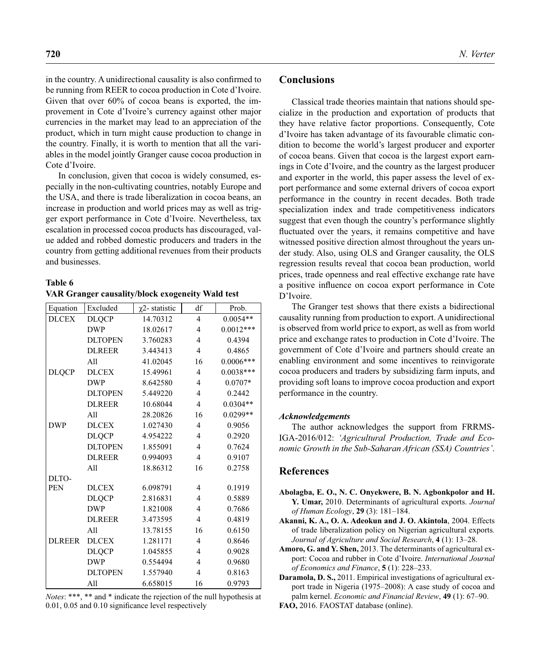in the country. A unidirectional causality is also confirmed to be running from REER to cocoa production in Cote d'Ivoire. Given that over 60% of cocoa beans is exported, the improvement in Cote d'Ivoire's currency against other major currencies in the market may lead to an appreciation of the product, which in turn might cause production to change in the country. Finally, it is worth to mention that all the variables in the model jointly Granger cause cocoa production in Cote d'Ivoire.

In conclusion, given that cocoa is widely consumed, especially in the non-cultivating countries, notably Europe and the USA, and there is trade liberalization in cocoa beans, an increase in production and world prices may as well as trigger export performance in Cote d'Ivoire. Nevertheless, tax escalation in processed cocoa products has discouraged, value added and robbed domestic producers and traders in the country from getting additional revenues from their products and businesses.

# **Table 6 VAR Granger causality/block exogeneity Wald test**

| Equation      | Excluded       | $\chi$ 2-statistic | df                      | Prob.       |
|---------------|----------------|--------------------|-------------------------|-------------|
| <b>DLCEX</b>  | <b>DLQCP</b>   | 14.70312           | $\overline{\mathbf{4}}$ | $0.0054**$  |
|               | <b>DWP</b>     | 18.02617           | 4                       | $0.0012***$ |
|               | <b>DLTOPEN</b> | 3.760283           | 4                       | 0.4394      |
|               | <b>DLREER</b>  | 3.443413           | 4                       | 0.4865      |
|               | A11            | 41.02045           | 16                      | $0.0006***$ |
| <b>DLQCP</b>  | <b>DLCEX</b>   | 15.49961           | 4                       | $0.0038***$ |
|               | <b>DWP</b>     | 8.642580           | 4                       | $0.0707*$   |
|               | <b>DLTOPEN</b> | 5.449220           | 4                       | 0.2442      |
|               | <b>DLREER</b>  | 10.68044           | 4                       | $0.0304**$  |
|               | A11            | 28.20826           | 16                      | 0.0299**    |
| <b>DWP</b>    | <b>DLCEX</b>   | 1.027430           | 4                       | 0.9056      |
|               | <b>DLQCP</b>   | 4.954222           | 4                       | 0.2920      |
|               | <b>DLTOPEN</b> | 1.855091           | 4                       | 0.7624      |
|               | <b>DLREER</b>  | 0.994093           | 4                       | 0.9107      |
|               | A11            | 18.86312           | 16                      | 0.2758      |
| DLTO-         |                |                    |                         |             |
| <b>PEN</b>    | <b>DLCEX</b>   | 6.098791           | 4                       | 0.1919      |
|               | <b>DLQCP</b>   | 2.816831           | 4                       | 0.5889      |
|               | <b>DWP</b>     | 1.821008           | 4                       | 0.7686      |
|               | <b>DLREER</b>  | 3.473595           | 4                       | 0.4819      |
|               | A11            | 13.78155           | 16                      | 0.6150      |
| <b>DLREER</b> | <b>DLCEX</b>   | 1.281171           | 4                       | 0.8646      |
|               | <b>DLQCP</b>   | 1.045855           | 4                       | 0.9028      |
|               | <b>DWP</b>     | 0.554494           | 4                       | 0.9680      |
|               | <b>DLTOPEN</b> | 1.557940           | 4                       | 0.8163      |
|               | All            | 6.658015           | 16                      | 0.9793      |

*Notes*: \*\*\*, \*\* and \* indicate the rejection of the null hypothesis at  $0.01$ ,  $0.05$  and  $0.10$  significance level respectively

# **Conclusions**

Classical trade theories maintain that nations should specialize in the production and exportation of products that they have relative factor proportions. Consequently, Cote d'Ivoire has taken advantage of its favourable climatic condition to become the world's largest producer and exporter of cocoa beans. Given that cocoa is the largest export earnings in Cote d'Ivoire, and the country as the largest producer and exporter in the world, this paper assess the level of export performance and some external drivers of cocoa export performance in the country in recent decades. Both trade specialization index and trade competitiveness indicators suggest that even though the country's performance slightly fluctuated over the years, it remains competitive and have witnessed positive direction almost throughout the years under study. Also, using OLS and Granger causality, the OLS regression results reveal that cocoa bean production, world prices, trade openness and real effective exchange rate have a positive influence on cocoa export performance in Cote D'Ivoire.

The Granger test shows that there exists a bidirectional causality running from production to export. A unidirectional is observed from world price to export, as well as from world price and exchange rates to production in Cote d'Ivoire. The government of Cote d'Ivoire and partners should create an enabling environment and some incentives to reinvigorate cocoa producers and traders by subsidizing farm inputs, and providing soft loans to improve cocoa production and export performance in the country.

### *Acknowledgements*

The author acknowledges the support from FRRMS-IGA-2016/012: *'Agricultural Production, Trade and Economic Growth in the Sub-Saharan African (SSA) Countries'*.

# **References**

- **Abolagba, E. O., N. C. Onyekwere, B. N. Agbonkpolor and H. Y. Umar,** 2010. Determinants of agricultural exports. *Journal of Human Ecology*, **29** (3): 181–184.
- **Akanni, K. A., O. A. Adeokun and J. O. Akintola**, 2004. Effects of trade liberalization policy on Nigerian agricultural exports*. Journal of Agriculture and Social Research*, **4** (1): 13–28.
- **Amoro, G. and Y. Shen,** 2013. The determinants of agricultural export: Cocoa and rubber in Cote d'Ivoire. *International Journal of Economics and Finance*, **5** (1): 228–233.

**Daramola, D. S.,** 2011. Empirical investigations of agricultural export trade in Nigeria (1975–2008): A case study of cocoa and palm kernel. *Economic and Financial Review*, **49** (1): 67–90.

**FAO,** 2016. FAOSTAT database (online).